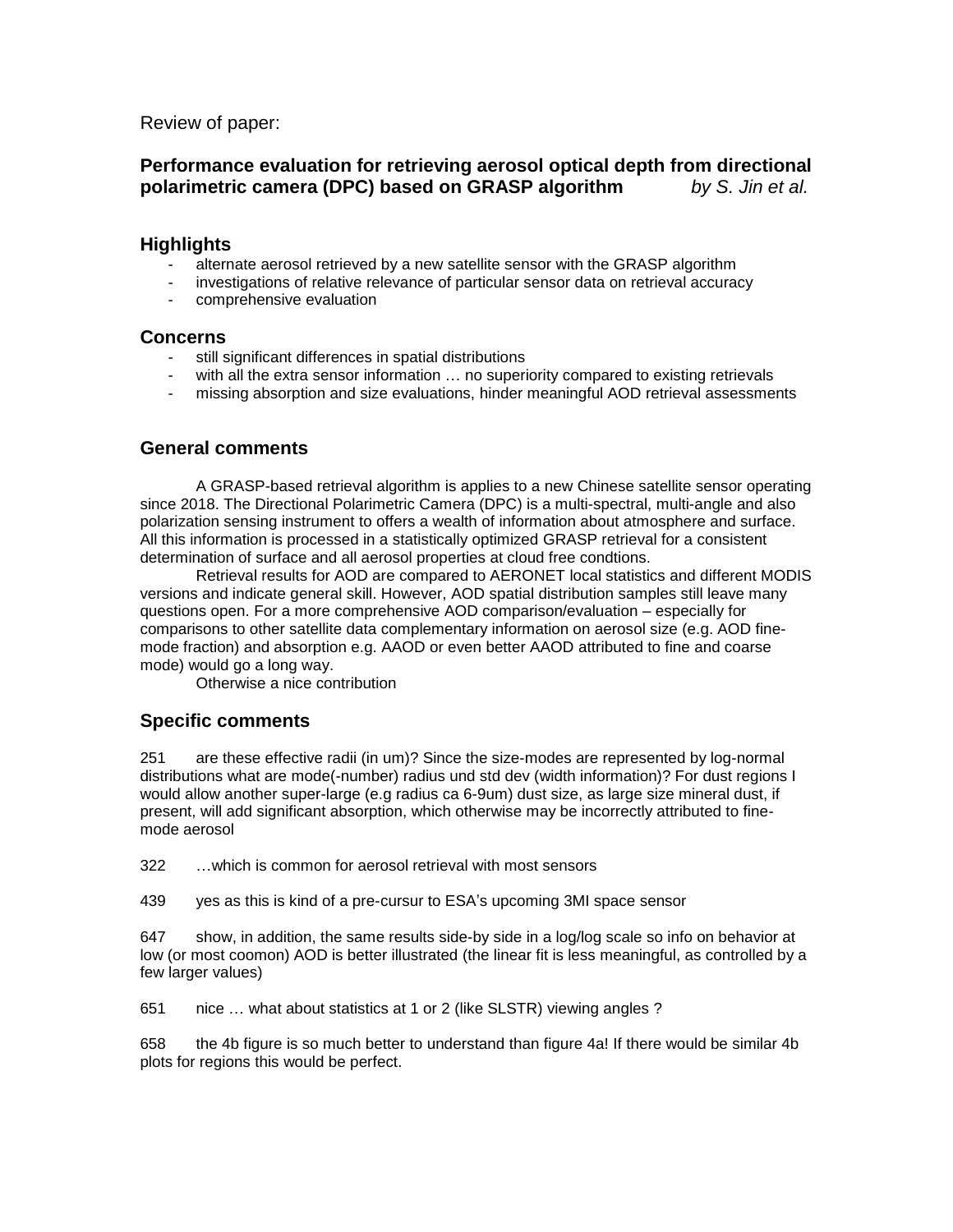Review of paper:

# **Performance evaluation for retrieving aerosol optical depth from directional polarimetric camera (DPC) based on GRASP algorithm** *by S. Jin et al.*

## **Highlights**

- alternate aerosol retrieved by a new satellite sensor with the GRASP algorithm
- investigations of relative relevance of particular sensor data on retrieval accuracy
- comprehensive evaluation

#### **Concerns**

- still significant differences in spatial distributions
- with all the extra sensor information ... no superiority compared to existing retrievals
- missing absorption and size evaluations, hinder meaningful AOD retrieval assessments

# **General comments**

A GRASP-based retrieval algorithm is applies to a new Chinese satellite sensor operating since 2018. The Directional Polarimetric Camera (DPC) is a multi-spectral, multi-angle and also polarization sensing instrument to offers a wealth of information about atmosphere and surface. All this information is processed in a statistically optimized GRASP retrieval for a consistent determination of surface and all aerosol properties at cloud free condtions.

Retrieval results for AOD are compared to AERONET local statistics and different MODIS versions and indicate general skill. However, AOD spatial distribution samples still leave many questions open. For a more comprehensive AOD comparison/evaluation – especially for comparisons to other satellite data complementary information on aerosol size (e.g. AOD finemode fraction) and absorption e.g. AAOD or even better AAOD attributed to fine and coarse mode) would go a long way.

Otherwise a nice contribution

## **Specific comments**

251 are these effective radii (in um)? Since the size-modes are represented by log-normal distributions what are mode(-number) radius und std dev (width information)? For dust regions I would allow another super-large (e.g radius ca 6-9um) dust size, as large size mineral dust, if present, will add significant absorption, which otherwise may be incorrectly attributed to finemode aerosol

322 …which is common for aerosol retrieval with most sensors

439 yes as this is kind of a pre-cursur to ESA's upcoming 3MI space sensor

647 show, in addition, the same results side-by side in a log/log scale so info on behavior at low (or most coomon) AOD is better illustrated (the linear fit is less meaningful, as controlled by a few larger values)

651 nice … what about statistics at 1 or 2 (like SLSTR) viewing angles ?

658 the 4b figure is so much better to understand than figure 4a! If there would be similar 4b plots for regions this would be perfect.